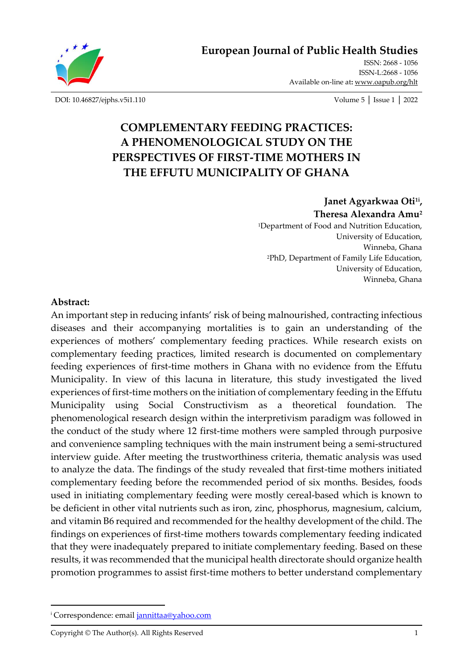**[European Journal of Public Health](https://oapub.org/hlt/) Studie[s](https://oapub.org/hlt/)**



[ISSN: 2668 -](http://oapub.org/soc/index.php/EJSSS) 1056 [ISSN-L:2668 -](http://oapub.org/soc/index.php/EJSSS) 1056 Available on-line at**:** [www.oapub.org/hlt](http://www.oapub.org/hlt)

[DOI: 10.46827/ejphs.v5i1.110](http://dx.doi.org/10.46827/ejphs.v5i1.110) Volume 5 │ Issue 1 │ 2022

# **COMPLEMENTARY FEEDING PRACTICES: A PHENOMENOLOGICAL STUDY ON THE PERSPECTIVES OF FIRST-TIME MOTHERS IN THE EFFUTU MUNICIPALITY OF GHANA**

### **Janet Agyarkwaa Oti1i , Theresa Alexandra Amu<sup>2</sup>**

<sup>1</sup>Department of Food and Nutrition Education, University of Education, Winneba, Ghana <sup>2</sup>PhD, Department of Family Life Education, University of Education, Winneba, Ghana

### **Abstract:**

An important step in reducing infants' risk of being malnourished, contracting infectious diseases and their accompanying mortalities is to gain an understanding of the experiences of mothers' complementary feeding practices. While research exists on complementary feeding practices, limited research is documented on complementary feeding experiences of first-time mothers in Ghana with no evidence from the Effutu Municipality. In view of this lacuna in literature, this study investigated the lived experiences of first-time mothers on the initiation of complementary feeding in the Effutu Municipality using Social Constructivism as a theoretical foundation. The phenomenological research design within the interpretivism paradigm was followed in the conduct of the study where 12 first-time mothers were sampled through purposive and convenience sampling techniques with the main instrument being a semi-structured interview guide. After meeting the trustworthiness criteria, thematic analysis was used to analyze the data. The findings of the study revealed that first-time mothers initiated complementary feeding before the recommended period of six months. Besides, foods used in initiating complementary feeding were mostly cereal-based which is known to be deficient in other vital nutrients such as iron, zinc, phosphorus, magnesium, calcium, and vitamin B6 required and recommended for the healthy development of the child. The findings on experiences of first-time mothers towards complementary feeding indicated that they were inadequately prepared to initiate complementary feeding. Based on these results, it was recommended that the municipal health directorate should organize health promotion programmes to assist first-time mothers to better understand complementary

<sup>&</sup>lt;sup>i</sup> Correspondence: email [jannittaa@yahoo.com](mailto:jannittaa@yahoo.com)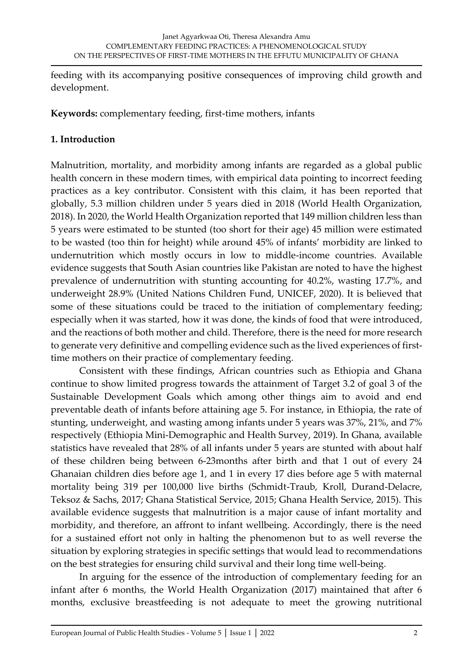feeding with its accompanying positive consequences of improving child growth and development.

**Keywords:** complementary feeding, first-time mothers, infants

# **1. Introduction**

Malnutrition, mortality, and morbidity among infants are regarded as a global public health concern in these modern times, with empirical data pointing to incorrect feeding practices as a key contributor. Consistent with this claim, it has been reported that globally, 5.3 million children under 5 years died in 2018 (World Health Organization, 2018). In 2020, the World Health Organization reported that 149 million children less than 5 years were estimated to be stunted (too short for their age) 45 million were estimated to be wasted (too thin for height) while around 45% of infants' morbidity are linked to undernutrition which mostly occurs in low to middle-income countries. Available evidence suggests that South Asian countries like Pakistan are noted to have the highest prevalence of undernutrition with stunting accounting for 40.2%, wasting 17.7%, and underweight 28.9% (United Nations Children Fund, UNICEF, 2020). It is believed that some of these situations could be traced to the initiation of complementary feeding; especially when it was started, how it was done, the kinds of food that were introduced, and the reactions of both mother and child. Therefore, there is the need for more research to generate very definitive and compelling evidence such as the lived experiences of firsttime mothers on their practice of complementary feeding.

Consistent with these findings, African countries such as Ethiopia and Ghana continue to show limited progress towards the attainment of Target 3.2 of goal 3 of the Sustainable Development Goals which among other things aim to avoid and end preventable death of infants before attaining age 5. For instance, in Ethiopia, the rate of stunting, underweight, and wasting among infants under 5 years was 37%, 21%, and 7% respectively (Ethiopia Mini-Demographic and Health Survey, 2019). In Ghana, available statistics have revealed that 28% of all infants under 5 years are stunted with about half of these children being between 6-23months after birth and that 1 out of every 24 Ghanaian children dies before age 1, and 1 in every 17 dies before age 5 with maternal mortality being 319 per 100,000 live births (Schmidt-Traub, Kroll, Durand-Delacre, Teksoz & Sachs, 2017; Ghana Statistical Service, 2015; Ghana Health Service, 2015). This available evidence suggests that malnutrition is a major cause of infant mortality and morbidity, and therefore, an affront to infant wellbeing. Accordingly, there is the need for a sustained effort not only in halting the phenomenon but to as well reverse the situation by exploring strategies in specific settings that would lead to recommendations on the best strategies for ensuring child survival and their long time well-being.

In arguing for the essence of the introduction of complementary feeding for an infant after 6 months, the World Health Organization (2017) maintained that after 6 months, exclusive breastfeeding is not adequate to meet the growing nutritional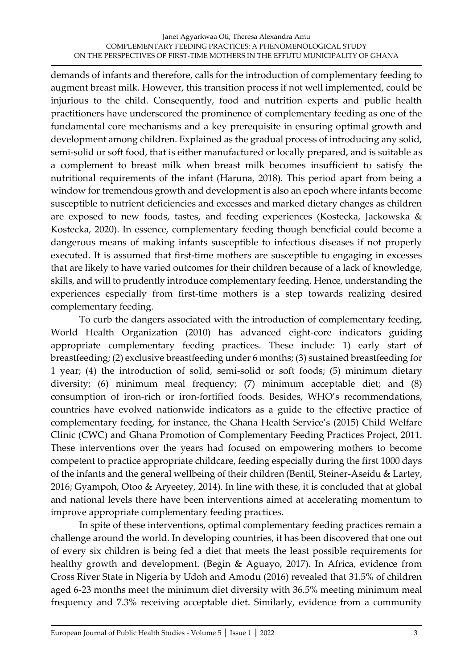demands of infants and therefore, calls for the introduction of complementary feeding to augment breast milk. However, this transition process if not well implemented, could be injurious to the child. Consequently, food and nutrition experts and public health practitioners have underscored the prominence of complementary feeding as one of the fundamental core mechanisms and a key prerequisite in ensuring optimal growth and development among children. Explained as the gradual process of introducing any solid, semi-solid or soft food, that is either manufactured or locally prepared, and is suitable as a complement to breast milk when breast milk becomes insufficient to satisfy the nutritional requirements of the infant (Haruna, 2018). This period apart from being a window for tremendous growth and development is also an epoch where infants become susceptible to nutrient deficiencies and excesses and marked dietary changes as children are exposed to new foods, tastes, and feeding experiences (Kostecka, Jackowska & Kostecka, 2020). In essence, complementary feeding though beneficial could become a dangerous means of making infants susceptible to infectious diseases if not properly executed. It is assumed that first-time mothers are susceptible to engaging in excesses that are likely to have varied outcomes for their children because of a lack of knowledge, skills, and will to prudently introduce complementary feeding. Hence, understanding the experiences especially from first-time mothers is a step towards realizing desired complementary feeding.

To curb the dangers associated with the introduction of complementary feeding, World Health Organization (2010) has advanced eight-core indicators guiding appropriate complementary feeding practices. These include: 1) early start of breastfeeding; (2) exclusive breastfeeding under 6 months; (3) sustained breastfeeding for 1 year; (4) the introduction of solid, semi-solid or soft foods; (5) minimum dietary diversity; (6) minimum meal frequency; (7) minimum acceptable diet; and (8) consumption of iron-rich or iron-fortified foods. Besides, WHO's recommendations, countries have evolved nationwide indicators as a guide to the effective practice of complementary feeding, for instance, the Ghana Health Service's (2015) Child Welfare Clinic (CWC) and Ghana Promotion of Complementary Feeding Practices Project, 2011. These interventions over the years had focused on empowering mothers to become competent to practice appropriate childcare, feeding especially during the first 1000 days of the infants and the general wellbeing of their children (Bentil, Steiner-Aseidu & Lartey, 2016; Gyampoh, Otoo & Aryeetey, 2014). In line with these, it is concluded that at global and national levels there have been interventions aimed at accelerating momentum to improve appropriate complementary feeding practices.

In spite of these interventions, optimal complementary feeding practices remain a challenge around the world. In developing countries, it has been discovered that one out of every six children is being fed a diet that meets the least possible requirements for healthy growth and development. (Begin & Aguayo, 2017). In Africa, evidence from Cross River State in Nigeria by Udoh and Amodu (2016) revealed that 31.5% of children aged 6-23 months meet the minimum diet diversity with 36.5% meeting minimum meal frequency and 7.3% receiving acceptable diet. Similarly, evidence from a community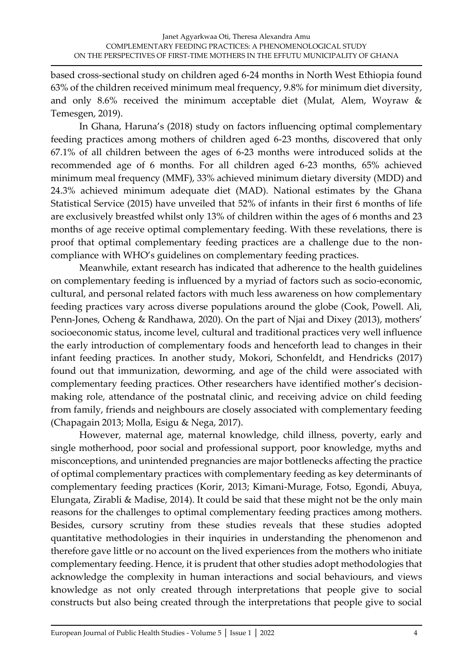based cross-sectional study on children aged 6-24 months in North West Ethiopia found 63% of the children received minimum meal frequency, 9.8% for minimum diet diversity, and only 8.6% received the minimum acceptable diet (Mulat, Alem, Woyraw & Temesgen, 2019).

In Ghana, Haruna's (2018) study on factors influencing optimal complementary feeding practices among mothers of children aged 6-23 months, discovered that only 67.1% of all children between the ages of 6-23 months were introduced solids at the recommended age of 6 months. For all children aged 6-23 months, 65% achieved minimum meal frequency (MMF), 33% achieved minimum dietary diversity (MDD) and 24.3% achieved minimum adequate diet (MAD). National estimates by the Ghana Statistical Service (2015) have unveiled that 52% of infants in their first 6 months of life are exclusively breastfed whilst only 13% of children within the ages of 6 months and 23 months of age receive optimal complementary feeding. With these revelations, there is proof that optimal complementary feeding practices are a challenge due to the noncompliance with WHO's guidelines on complementary feeding practices.

Meanwhile, extant research has indicated that adherence to the health guidelines on complementary feeding is influenced by a myriad of factors such as socio-economic, cultural, and personal related factors with much less awareness on how complementary feeding practices vary across diverse populations around the globe (Cook, Powell. Ali, Penn-Jones, Ocheng & Randhawa, 2020). On the part of Njai and Dixey (2013), mothers' socioeconomic status, income level, cultural and traditional practices very well influence the early introduction of complementary foods and henceforth lead to changes in their infant feeding practices. In another study, Mokori, Schonfeldt, and Hendricks (2017) found out that immunization, deworming, and age of the child were associated with complementary feeding practices. Other researchers have identified mother's decisionmaking role, attendance of the postnatal clinic, and receiving advice on child feeding from family, friends and neighbours are closely associated with complementary feeding (Chapagain 2013; Molla, Esigu & Nega, 2017).

However, maternal age, maternal knowledge, child illness, poverty, early and single motherhood, poor social and professional support, poor knowledge, myths and misconceptions, and unintended pregnancies are major bottlenecks affecting the practice of optimal complementary practices with complementary feeding as key determinants of complementary feeding practices (Korir, 2013; Kimani-Murage, Fotso, Egondi, Abuya, Elungata, Zirabli & Madise, 2014). It could be said that these might not be the only main reasons for the challenges to optimal complementary feeding practices among mothers. Besides, cursory scrutiny from these studies reveals that these studies adopted quantitative methodologies in their inquiries in understanding the phenomenon and therefore gave little or no account on the lived experiences from the mothers who initiate complementary feeding. Hence, it is prudent that other studies adopt methodologies that acknowledge the complexity in human interactions and social behaviours, and views knowledge as not only created through interpretations that people give to social constructs but also being created through the interpretations that people give to social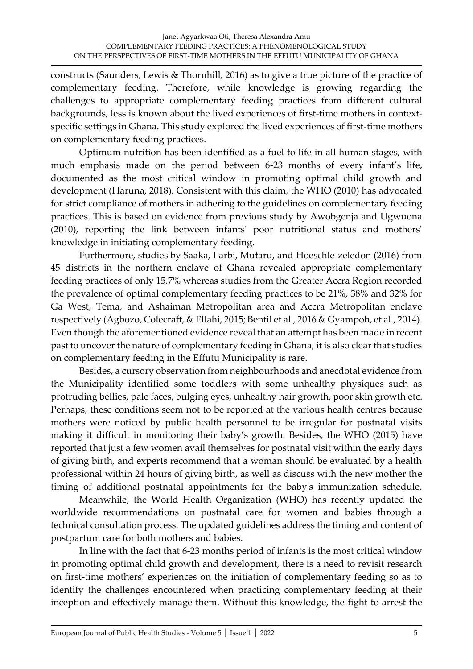constructs (Saunders, Lewis & Thornhill, 2016) as to give a true picture of the practice of complementary feeding. Therefore, while knowledge is growing regarding the challenges to appropriate complementary feeding practices from different cultural backgrounds, less is known about the lived experiences of first-time mothers in contextspecific settings in Ghana. This study explored the lived experiences of first-time mothers on complementary feeding practices.

Optimum nutrition has been identified as a fuel to life in all human stages, with much emphasis made on the period between 6-23 months of every infant's life, documented as the most critical window in promoting optimal child growth and development (Haruna, 2018). Consistent with this claim, the WHO (2010) has advocated for strict compliance of mothers in adhering to the guidelines on complementary feeding practices. This is based on evidence from previous study by Awobgenja and Ugwuona (2010), reporting the link between infants' poor nutritional status and mothers' knowledge in initiating complementary feeding.

Furthermore, studies by Saaka, Larbi, Mutaru, and Hoeschle-zeledon (2016) from 45 districts in the northern enclave of Ghana revealed appropriate complementary feeding practices of only 15.7% whereas studies from the Greater Accra Region recorded the prevalence of optimal complementary feeding practices to be 21%, 38% and 32% for Ga West, Tema, and Ashaiman Metropolitan area and Accra Metropolitan enclave respectively (Agbozo, Colecraft, & Ellahi, 2015; Bentil et al., 2016 & Gyampoh, et al., 2014). Even though the aforementioned evidence reveal that an attempt has been made in recent past to uncover the nature of complementary feeding in Ghana, it is also clear that studies on complementary feeding in the Effutu Municipality is rare.

Besides, a cursory observation from neighbourhoods and anecdotal evidence from the Municipality identified some toddlers with some unhealthy physiques such as protruding bellies, pale faces, bulging eyes, unhealthy hair growth, poor skin growth etc. Perhaps, these conditions seem not to be reported at the various health centres because mothers were noticed by public health personnel to be irregular for postnatal visits making it difficult in monitoring their baby's growth. Besides, the WHO (2015) have reported that just a few women avail themselves for postnatal visit within the early days of giving birth, and experts recommend that a woman should be evaluated by a health professional within 24 hours of giving birth, as well as discuss with the new mother the timing of additional postnatal appointments for the baby's immunization schedule.

Meanwhile, the World Health Organization (WHO) has recently updated the worldwide recommendations on postnatal care for women and babies through a technical consultation process. The updated guidelines address the timing and content of postpartum care for both mothers and babies.

In line with the fact that 6-23 months period of infants is the most critical window in promoting optimal child growth and development, there is a need to revisit research on first-time mothers' experiences on the initiation of complementary feeding so as to identify the challenges encountered when practicing complementary feeding at their inception and effectively manage them. Without this knowledge, the fight to arrest the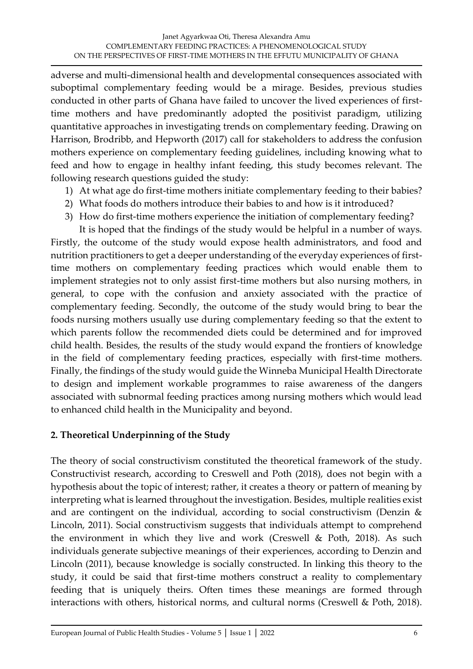adverse and multi-dimensional health and developmental consequences associated with suboptimal complementary feeding would be a mirage. Besides, previous studies conducted in other parts of Ghana have failed to uncover the lived experiences of firsttime mothers and have predominantly adopted the positivist paradigm, utilizing quantitative approaches in investigating trends on complementary feeding. Drawing on Harrison, Brodribb, and Hepworth (2017) call for stakeholders to address the confusion mothers experience on complementary feeding guidelines, including knowing what to feed and how to engage in healthy infant feeding, this study becomes relevant. The following research questions guided the study:

- 1) At what age do first-time mothers initiate complementary feeding to their babies?
- 2) What foods do mothers introduce their babies to and how is it introduced?
- 3) How do first-time mothers experience the initiation of complementary feeding?

It is hoped that the findings of the study would be helpful in a number of ways. Firstly, the outcome of the study would expose health administrators, and food and nutrition practitioners to get a deeper understanding of the everyday experiences of firsttime mothers on complementary feeding practices which would enable them to implement strategies not to only assist first-time mothers but also nursing mothers, in general, to cope with the confusion and anxiety associated with the practice of complementary feeding. Secondly, the outcome of the study would bring to bear the foods nursing mothers usually use during complementary feeding so that the extent to which parents follow the recommended diets could be determined and for improved child health. Besides, the results of the study would expand the frontiers of knowledge in the field of complementary feeding practices, especially with first-time mothers. Finally, the findings of the study would guide the Winneba Municipal Health Directorate to design and implement workable programmes to raise awareness of the dangers associated with subnormal feeding practices among nursing mothers which would lead to enhanced child health in the Municipality and beyond.

### **2. Theoretical Underpinning of the Study**

The theory of social constructivism constituted the theoretical framework of the study. Constructivist research, according to Creswell and Poth (2018), does not begin with a hypothesis about the topic of interest; rather, it creates a theory or pattern of meaning by interpreting what is learned throughout the investigation. Besides, multiple realities exist and are contingent on the individual, according to social constructivism (Denzin & Lincoln, 2011). Social constructivism suggests that individuals attempt to comprehend the environment in which they live and work (Creswell & Poth, 2018). As such individuals generate subjective meanings of their experiences, according to Denzin and Lincoln (2011), because knowledge is socially constructed. In linking this theory to the study, it could be said that first-time mothers construct a reality to complementary feeding that is uniquely theirs. Often times these meanings are formed through interactions with others, historical norms, and cultural norms (Creswell & Poth, 2018).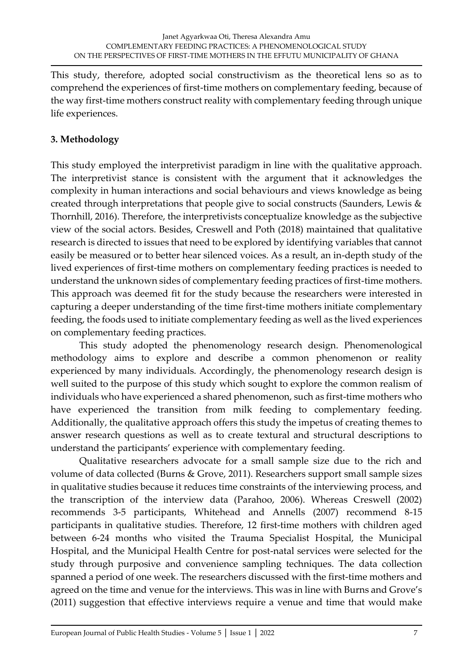This study, therefore, adopted social constructivism as the theoretical lens so as to comprehend the experiences of first-time mothers on complementary feeding, because of the way first-time mothers construct reality with complementary feeding through unique life experiences.

# **3. Methodology**

This study employed the interpretivist paradigm in line with the qualitative approach. The interpretivist stance is consistent with the argument that it acknowledges the complexity in human interactions and social behaviours and views knowledge as being created through interpretations that people give to social constructs (Saunders, Lewis & Thornhill, 2016). Therefore, the interpretivists conceptualize knowledge as the subjective view of the social actors. Besides, Creswell and Poth (2018) maintained that qualitative research is directed to issues that need to be explored by identifying variables that cannot easily be measured or to better hear silenced voices. As a result, an in-depth study of the lived experiences of first-time mothers on complementary feeding practices is needed to understand the unknown sides of complementary feeding practices of first-time mothers. This approach was deemed fit for the study because the researchers were interested in capturing a deeper understanding of the time first-time mothers initiate complementary feeding, the foods used to initiate complementary feeding as well as the lived experiences on complementary feeding practices.

This study adopted the phenomenology research design. Phenomenological methodology aims to explore and describe a common phenomenon or reality experienced by many individuals. Accordingly, the phenomenology research design is well suited to the purpose of this study which sought to explore the common realism of individuals who have experienced a shared phenomenon, such as first-time mothers who have experienced the transition from milk feeding to complementary feeding. Additionally, the qualitative approach offers this study the impetus of creating themes to answer research questions as well as to create textural and structural descriptions to understand the participants' experience with complementary feeding.

Qualitative researchers advocate for a small sample size due to the rich and volume of data collected (Burns & Grove, 2011). Researchers support small sample sizes in qualitative studies because it reduces time constraints of the interviewing process, and the transcription of the interview data (Parahoo, 2006). Whereas Creswell (2002) recommends 3-5 participants, Whitehead and Annells (2007) recommend 8-15 participants in qualitative studies. Therefore, 12 first-time mothers with children aged between 6-24 months who visited the Trauma Specialist Hospital, the Municipal Hospital, and the Municipal Health Centre for post-natal services were selected for the study through purposive and convenience sampling techniques. The data collection spanned a period of one week. The researchers discussed with the first-time mothers and agreed on the time and venue for the interviews. This was in line with Burns and Grove's (2011) suggestion that effective interviews require a venue and time that would make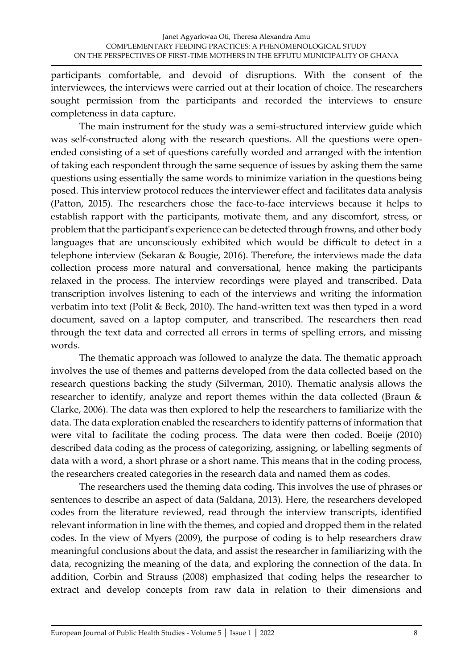participants comfortable, and devoid of disruptions. With the consent of the interviewees, the interviews were carried out at their location of choice. The researchers sought permission from the participants and recorded the interviews to ensure completeness in data capture.

The main instrument for the study was a semi-structured interview guide which was self-constructed along with the research questions. All the questions were openended consisting of a set of questions carefully worded and arranged with the intention of taking each respondent through the same sequence of issues by asking them the same questions using essentially the same words to minimize variation in the questions being posed. This interview protocol reduces the interviewer effect and facilitates data analysis (Patton, 2015). The researchers chose the face-to-face interviews because it helps to establish rapport with the participants, motivate them, and any discomfort, stress, or problem that the participant's experience can be detected through frowns, and other body languages that are unconsciously exhibited which would be difficult to detect in a telephone interview (Sekaran & Bougie, 2016). Therefore, the interviews made the data collection process more natural and conversational, hence making the participants relaxed in the process. The interview recordings were played and transcribed. Data transcription involves listening to each of the interviews and writing the information verbatim into text (Polit & Beck, 2010). The hand-written text was then typed in a word document, saved on a laptop computer, and transcribed. The researchers then read through the text data and corrected all errors in terms of spelling errors, and missing words.

The thematic approach was followed to analyze the data. The thematic approach involves the use of themes and patterns developed from the data collected based on the research questions backing the study (Silverman, 2010). Thematic analysis allows the researcher to identify, analyze and report themes within the data collected (Braun & Clarke, 2006). The data was then explored to help the researchers to familiarize with the data. The data exploration enabled the researchers to identify patterns of information that were vital to facilitate the coding process. The data were then coded. Boeije (2010) described data coding as the process of categorizing, assigning, or labelling segments of data with a word, a short phrase or a short name. This means that in the coding process, the researchers created categories in the research data and named them as codes.

The researchers used the theming data coding. This involves the use of phrases or sentences to describe an aspect of data (Saldana, 2013). Here, the researchers developed codes from the literature reviewed, read through the interview transcripts, identified relevant information in line with the themes, and copied and dropped them in the related codes. In the view of Myers (2009), the purpose of coding is to help researchers draw meaningful conclusions about the data, and assist the researcher in familiarizing with the data, recognizing the meaning of the data, and exploring the connection of the data. In addition, Corbin and Strauss (2008) emphasized that coding helps the researcher to extract and develop concepts from raw data in relation to their dimensions and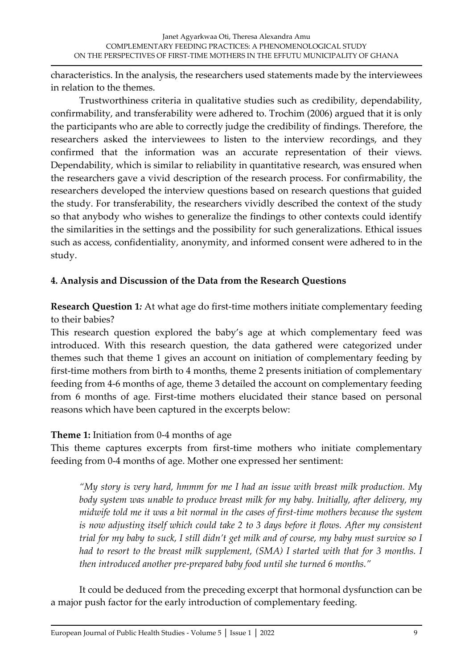characteristics. In the analysis, the researchers used statements made by the interviewees in relation to the themes.

Trustworthiness criteria in qualitative studies such as credibility, dependability, confirmability, and transferability were adhered to. Trochim (2006) argued that it is only the participants who are able to correctly judge the credibility of findings. Therefore, the researchers asked the interviewees to listen to the interview recordings, and they confirmed that the information was an accurate representation of their views. Dependability, which is similar to reliability in quantitative research, was ensured when the researchers gave a vivid description of the research process. For confirmability, the researchers developed the interview questions based on research questions that guided the study. For transferability, the researchers vividly described the context of the study so that anybody who wishes to generalize the findings to other contexts could identify the similarities in the settings and the possibility for such generalizations. Ethical issues such as access, confidentiality, anonymity, and informed consent were adhered to in the study.

### **4. Analysis and Discussion of the Data from the Research Questions**

**Research Question 1***:* At what age do first-time mothers initiate complementary feeding to their babies?

This research question explored the baby's age at which complementary feed was introduced. With this research question, the data gathered were categorized under themes such that theme 1 gives an account on initiation of complementary feeding by first-time mothers from birth to 4 months, theme 2 presents initiation of complementary feeding from 4-6 months of age, theme 3 detailed the account on complementary feeding from 6 months of age. First-time mothers elucidated their stance based on personal reasons which have been captured in the excerpts below:

# **Theme 1:** Initiation from 0-4 months of age

This theme captures excerpts from first-time mothers who initiate complementary feeding from 0-4 months of age. Mother one expressed her sentiment:

*"My story is very hard, hmmm for me I had an issue with breast milk production. My body system was unable to produce breast milk for my baby. Initially, after delivery, my midwife told me it was a bit normal in the cases of first-time mothers because the system is now adjusting itself which could take 2 to 3 days before it flows. After my consistent trial for my baby to suck, I still didn't get milk and of course, my baby must survive so I had to resort to the breast milk supplement, (SMA) I started with that for 3 months. I then introduced another pre-prepared baby food until she turned 6 months."*

It could be deduced from the preceding excerpt that hormonal dysfunction can be a major push factor for the early introduction of complementary feeding.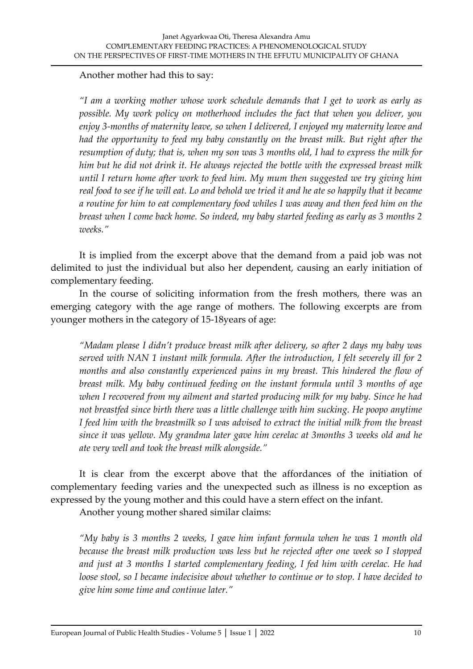Another mother had this to say:

*"I am a working mother whose work schedule demands that I get to work as early as possible. My work policy on motherhood includes the fact that when you deliver, you enjoy 3-months of maternity leave, so when I delivered, I enjoyed my maternity leave and had the opportunity to feed my baby constantly on the breast milk. But right after the resumption of duty; that is, when my son was 3 months old, I had to express the milk for him but he did not drink it. He always rejected the bottle with the expressed breast milk until I return home after work to feed him. My mum then suggested we try giving him real food to see if he will eat. Lo and behold we tried it and he ate so happily that it became a routine for him to eat complementary food whiles I was away and then feed him on the breast when I come back home. So indeed, my baby started feeding as early as 3 months 2 weeks."*

It is implied from the excerpt above that the demand from a paid job was not delimited to just the individual but also her dependent, causing an early initiation of complementary feeding.

In the course of soliciting information from the fresh mothers, there was an emerging category with the age range of mothers. The following excerpts are from younger mothers in the category of 15-18years of age:

*"Madam please I didn't produce breast milk after delivery, so after 2 days my baby was served with NAN 1 instant milk formula. After the introduction, I felt severely ill for 2 months and also constantly experienced pains in my breast. This hindered the flow of breast milk. My baby continued feeding on the instant formula until 3 months of age when I recovered from my ailment and started producing milk for my baby. Since he had not breastfed since birth there was a little challenge with him sucking. He poopo anytime I feed him with the breastmilk so I was advised to extract the initial milk from the breast since it was yellow. My grandma later gave him cerelac at 3months 3 weeks old and he ate very well and took the breast milk alongside."*

It is clear from the excerpt above that the affordances of the initiation of complementary feeding varies and the unexpected such as illness is no exception as expressed by the young mother and this could have a stern effect on the infant.

Another young mother shared similar claims:

*"My baby is 3 months 2 weeks, I gave him infant formula when he was 1 month old because the breast milk production was less but he rejected after one week so I stopped and just at 3 months I started complementary feeding, I fed him with cerelac. He had loose stool, so I became indecisive about whether to continue or to stop. I have decided to give him some time and continue later."*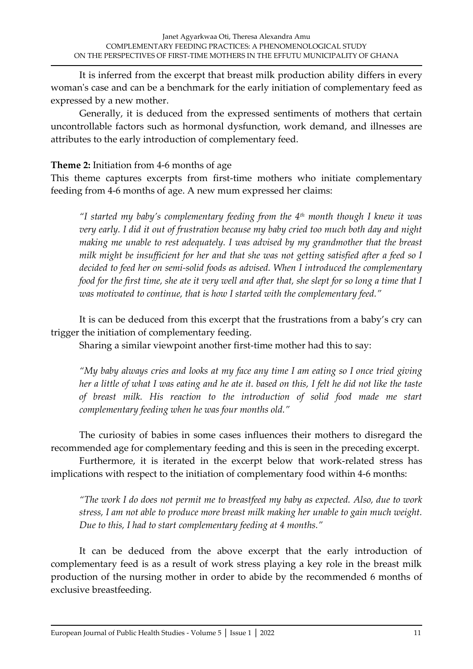It is inferred from the excerpt that breast milk production ability differs in every woman's case and can be a benchmark for the early initiation of complementary feed as expressed by a new mother.

Generally, it is deduced from the expressed sentiments of mothers that certain uncontrollable factors such as hormonal dysfunction, work demand, and illnesses are attributes to the early introduction of complementary feed.

### **Theme 2:** Initiation from 4-6 months of age

This theme captures excerpts from first-time mothers who initiate complementary feeding from 4-6 months of age. A new mum expressed her claims:

*"I started my baby's complementary feeding from the 4th month though I knew it was very early. I did it out of frustration because my baby cried too much both day and night making me unable to rest adequately. I was advised by my grandmother that the breast milk might be insufficient for her and that she was not getting satisfied after a feed so I decided to feed her on semi-solid foods as advised. When I introduced the complementary food for the first time, she ate it very well and after that, she slept for so long a time that I was motivated to continue, that is how I started with the complementary feed."*

It is can be deduced from this excerpt that the frustrations from a baby's cry can trigger the initiation of complementary feeding.

Sharing a similar viewpoint another first-time mother had this to say:

*"My baby always cries and looks at my face any time I am eating so I once tried giving her a little of what I was eating and he ate it. based on this, I felt he did not like the taste of breast milk. His reaction to the introduction of solid food made me start complementary feeding when he was four months old."*

The curiosity of babies in some cases influences their mothers to disregard the recommended age for complementary feeding and this is seen in the preceding excerpt.

Furthermore, it is iterated in the excerpt below that work-related stress has implications with respect to the initiation of complementary food within 4-6 months:

*"The work I do does not permit me to breastfeed my baby as expected. Also, due to work stress, I am not able to produce more breast milk making her unable to gain much weight. Due to this, I had to start complementary feeding at 4 months."*

It can be deduced from the above excerpt that the early introduction of complementary feed is as a result of work stress playing a key role in the breast milk production of the nursing mother in order to abide by the recommended 6 months of exclusive breastfeeding.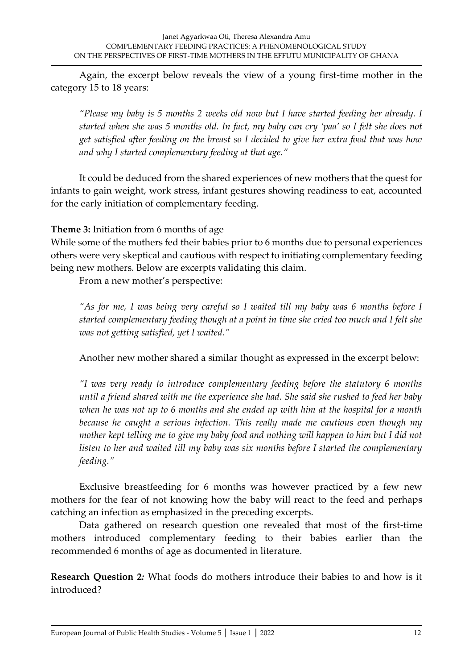Again, the excerpt below reveals the view of a young first-time mother in the category 15 to 18 years:

*"Please my baby is 5 months 2 weeks old now but I have started feeding her already. I started when she was 5 months old. In fact, my baby can cry 'paa' so I felt she does not get satisfied after feeding on the breast so I decided to give her extra food that was how and why I started complementary feeding at that age."*

It could be deduced from the shared experiences of new mothers that the quest for infants to gain weight, work stress, infant gestures showing readiness to eat, accounted for the early initiation of complementary feeding.

**Theme 3:** Initiation from 6 months of age

While some of the mothers fed their babies prior to 6 months due to personal experiences others were very skeptical and cautious with respect to initiating complementary feeding being new mothers. Below are excerpts validating this claim.

From a new mother's perspective:

*"As for me, I was being very careful so I waited till my baby was 6 months before I started complementary feeding though at a point in time she cried too much and I felt she was not getting satisfied, yet I waited."*

Another new mother shared a similar thought as expressed in the excerpt below:

*"I was very ready to introduce complementary feeding before the statutory 6 months until a friend shared with me the experience she had. She said she rushed to feed her baby when he was not up to 6 months and she ended up with him at the hospital for a month because he caught a serious infection. This really made me cautious even though my mother kept telling me to give my baby food and nothing will happen to him but I did not listen to her and waited till my baby was six months before I started the complementary feeding."* 

Exclusive breastfeeding for 6 months was however practiced by a few new mothers for the fear of not knowing how the baby will react to the feed and perhaps catching an infection as emphasized in the preceding excerpts.

Data gathered on research question one revealed that most of the first-time mothers introduced complementary feeding to their babies earlier than the recommended 6 months of age as documented in literature.

**Research Question 2***:* What foods do mothers introduce their babies to and how is it introduced?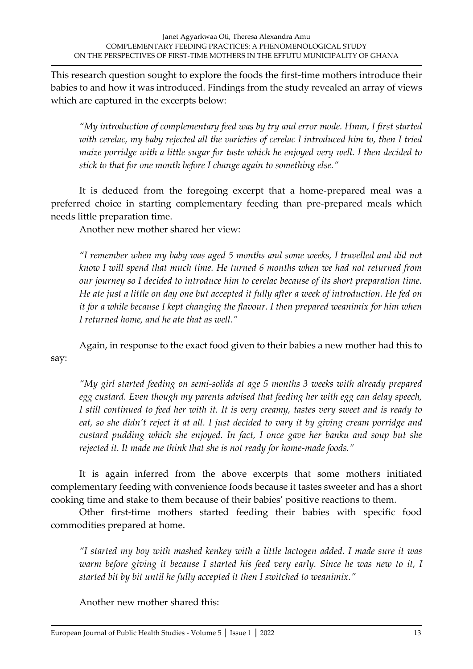This research question sought to explore the foods the first-time mothers introduce their babies to and how it was introduced. Findings from the study revealed an array of views which are captured in the excerpts below:

*"My introduction of complementary feed was by try and error mode. Hmm, I first started with cerelac, my baby rejected all the varieties of cerelac I introduced him to, then I tried maize porridge with a little sugar for taste which he enjoyed very well. I then decided to stick to that for one month before I change again to something else."*

It is deduced from the foregoing excerpt that a home-prepared meal was a preferred choice in starting complementary feeding than pre-prepared meals which needs little preparation time.

Another new mother shared her view:

*"I remember when my baby was aged 5 months and some weeks, I travelled and did not know I will spend that much time. He turned 6 months when we had not returned from our journey so I decided to introduce him to cerelac because of its short preparation time. He ate just a little on day one but accepted it fully after a week of introduction. He fed on it for a while because I kept changing the flavour. I then prepared weanimix for him when I returned home, and he ate that as well."*

Again, in response to the exact food given to their babies a new mother had this to say:

*"My girl started feeding on semi-solids at age 5 months 3 weeks with already prepared egg custard. Even though my parents advised that feeding her with egg can delay speech, I still continued to feed her with it. It is very creamy, tastes very sweet and is ready to eat, so she didn't reject it at all. I just decided to vary it by giving cream porridge and custard pudding which she enjoyed. In fact, I once gave her banku and soup but she rejected it. It made me think that she is not ready for home-made foods."*

It is again inferred from the above excerpts that some mothers initiated complementary feeding with convenience foods because it tastes sweeter and has a short cooking time and stake to them because of their babies' positive reactions to them.

Other first-time mothers started feeding their babies with specific food commodities prepared at home.

*"I started my boy with mashed kenkey with a little lactogen added. I made sure it was warm before giving it because I started his feed very early. Since he was new to it, I started bit by bit until he fully accepted it then I switched to weanimix."*

Another new mother shared this: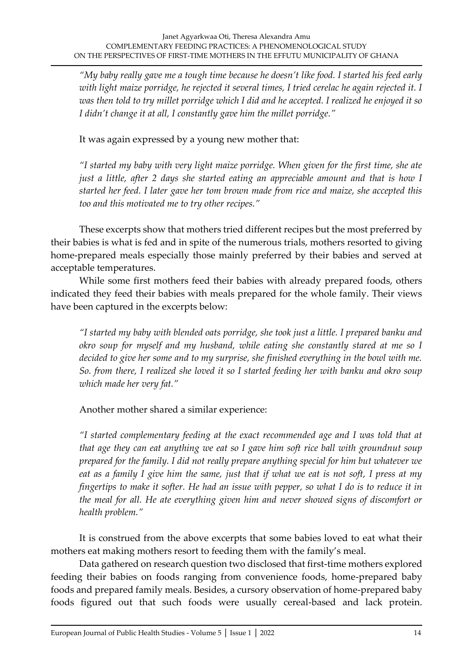*"My baby really gave me a tough time because he doesn't like food. I started his feed early with light maize porridge, he rejected it several times, I tried cerelac he again rejected it. I was then told to try millet porridge which I did and he accepted. I realized he enjoyed it so I didn't change it at all, I constantly gave him the millet porridge."*

It was again expressed by a young new mother that:

*"I started my baby with very light maize porridge. When given for the first time, she ate just a little, after 2 days she started eating an appreciable amount and that is how I started her feed. I later gave her tom brown made from rice and maize, she accepted this too and this motivated me to try other recipes."*

These excerpts show that mothers tried different recipes but the most preferred by their babies is what is fed and in spite of the numerous trials, mothers resorted to giving home-prepared meals especially those mainly preferred by their babies and served at acceptable temperatures.

While some first mothers feed their babies with already prepared foods, others indicated they feed their babies with meals prepared for the whole family. Their views have been captured in the excerpts below:

*"I started my baby with blended oats porridge, she took just a little. I prepared banku and okro soup for myself and my husband, while eating she constantly stared at me so I decided to give her some and to my surprise, she finished everything in the bowl with me. So. from there, I realized she loved it so I started feeding her with banku and okro soup which made her very fat."*

# Another mother shared a similar experience:

*"I started complementary feeding at the exact recommended age and I was told that at that age they can eat anything we eat so I gave him soft rice ball with groundnut soup prepared for the family. I did not really prepare anything special for him but whatever we eat as a family I give him the same, just that if what we eat is not soft, I press at my fingertips to make it softer. He had an issue with pepper, so what I do is to reduce it in the meal for all. He ate everything given him and never showed signs of discomfort or health problem."*

It is construed from the above excerpts that some babies loved to eat what their mothers eat making mothers resort to feeding them with the family's meal.

Data gathered on research question two disclosed that first-time mothers explored feeding their babies on foods ranging from convenience foods, home-prepared baby foods and prepared family meals. Besides, a cursory observation of home-prepared baby foods figured out that such foods were usually cereal-based and lack protein.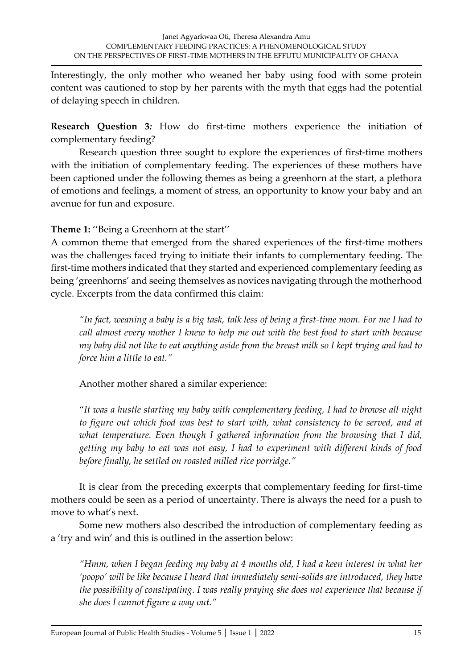Interestingly, the only mother who weaned her baby using food with some protein content was cautioned to stop by her parents with the myth that eggs had the potential of delaying speech in children.

**Research Question 3***:* How do first-time mothers experience the initiation of complementary feeding?

Research question three sought to explore the experiences of first-time mothers with the initiation of complementary feeding. The experiences of these mothers have been captioned under the following themes as being a greenhorn at the start, a plethora of emotions and feelings, a moment of stress, an opportunity to know your baby and an avenue for fun and exposure.

**Theme 1:** ''Being a Greenhorn at the start''

A common theme that emerged from the shared experiences of the first-time mothers was the challenges faced trying to initiate their infants to complementary feeding. The first-time mothers indicated that they started and experienced complementary feeding as being 'greenhorns' and seeing themselves as novices navigating through the motherhood cycle. Excerpts from the data confirmed this claim:

*"In fact, weaning a baby is a big task, talk less of being a first-time mom. For me I had to call almost every mother I knew to help me out with the best food to start with because my baby did not like to eat anything aside from the breast milk so I kept trying and had to force him a little to eat."*

Another mother shared a similar experience:

"*It was a hustle starting my baby with complementary feeding, I had to browse all night to figure out which food was best to start with, what consistency to be served, and at what temperature. Even though I gathered information from the browsing that I did, getting my baby to eat was not easy, I had to experiment with different kinds of food before finally, he settled on roasted milled rice porridge."*

It is clear from the preceding excerpts that complementary feeding for first-time mothers could be seen as a period of uncertainty. There is always the need for a push to move to what's next.

Some new mothers also described the introduction of complementary feeding as a 'try and win' and this is outlined in the assertion below:

*"Hmm, when I began feeding my baby at 4 months old, I had a keen interest in what her 'poopo' will be like because I heard that immediately semi-solids are introduced, they have the possibility of constipating. I was really praying she does not experience that because if she does I cannot figure a way out."*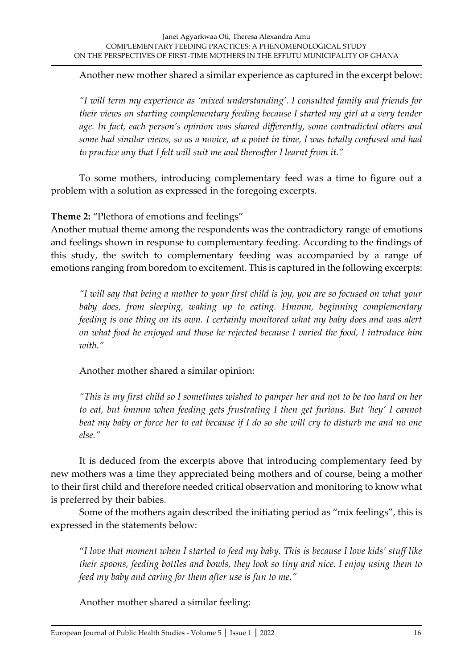Another new mother shared a similar experience as captured in the excerpt below:

*"I will term my experience as 'mixed understanding'. I consulted family and friends for their views on starting complementary feeding because I started my girl at a very tender age. In fact, each person's opinion was shared differently, some contradicted others and some had similar views, so as a novice, at a point in time, I was totally confused and had to practice any that I felt will suit me and thereafter I learnt from it."*

To some mothers, introducing complementary feed was a time to figure out a problem with a solution as expressed in the foregoing excerpts.

**Theme 2:** "Plethora of emotions and feelings"

Another mutual theme among the respondents was the contradictory range of emotions and feelings shown in response to complementary feeding. According to the findings of this study, the switch to complementary feeding was accompanied by a range of emotions ranging from boredom to excitement. This is captured in the following excerpts:

*"I will say that being a mother to your first child is joy, you are so focused on what your baby does, from sleeping, waking up to eating. Hmmm, beginning complementary feeding is one thing on its own. I certainly monitored what my baby does and was alert on what food he enjoyed and those he rejected because I varied the food, I introduce him with."*

Another mother shared a similar opinion:

*"This is my first child so I sometimes wished to pamper her and not to be too hard on her* to eat, but hmmm when feeding gets frustrating I then get furious. But 'hey' I cannot *beat my baby or force her to eat because if I do so she will cry to disturb me and no one else."*

It is deduced from the excerpts above that introducing complementary feed by new mothers was a time they appreciated being mothers and of course, being a mother to their first child and therefore needed critical observation and monitoring to know what is preferred by their babies.

Some of the mothers again described the initiating period as "mix feelings", this is expressed in the statements below:

"*I love that moment when I started to feed my baby. This is because I love kids' stuff like their spoons, feeding bottles and bowls, they look so tiny and nice. I enjoy using them to feed my baby and caring for them after use is fun to me."*

Another mother shared a similar feeling: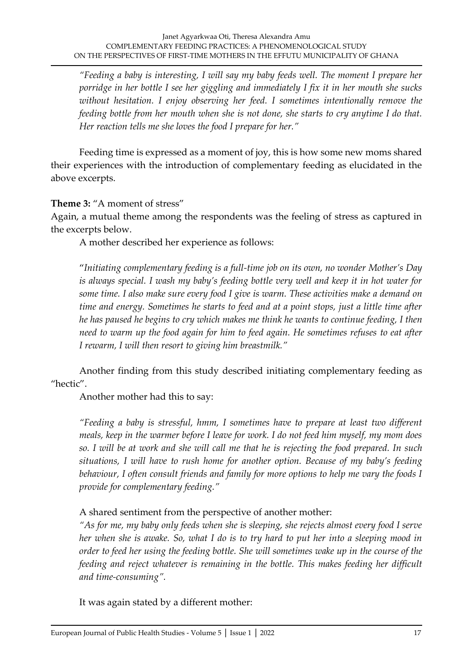*"Feeding a baby is interesting, I will say my baby feeds well. The moment I prepare her porridge in her bottle I see her giggling and immediately I fix it in her mouth she sucks without hesitation. I enjoy observing her feed. I sometimes intentionally remove the feeding bottle from her mouth when she is not done, she starts to cry anytime I do that. Her reaction tells me she loves the food I prepare for her."*

Feeding time is expressed as a moment of joy, this is how some new moms shared their experiences with the introduction of complementary feeding as elucidated in the above excerpts.

**Theme 3:** "A moment of stress"

Again, a mutual theme among the respondents was the feeling of stress as captured in the excerpts below.

A mother described her experience as follows:

"*Initiating complementary feeding is a full-time job on its own, no wonder Mother's Day is always special. I wash my baby's feeding bottle very well and keep it in hot water for some time. I also make sure every food I give is warm. These activities make a demand on time and energy. Sometimes he starts to feed and at a point stops, just a little time after he has paused he begins to cry which makes me think he wants to continue feeding, I then need to warm up the food again for him to feed again. He sometimes refuses to eat after I rewarm, I will then resort to giving him breastmilk."*

Another finding from this study described initiating complementary feeding as "hectic".

Another mother had this to say:

*"Feeding a baby is stressful, hmm, I sometimes have to prepare at least two different meals, keep in the warmer before I leave for work. I do not feed him myself, my mom does so. I will be at work and she will call me that he is rejecting the food prepared. In such situations, I will have to rush home for another option. Because of my baby's feeding behaviour, I often consult friends and family for more options to help me vary the foods I provide for complementary feeding."*

A shared sentiment from the perspective of another mother:

*"As for me, my baby only feeds when she is sleeping, she rejects almost every food I serve her when she is awake. So, what I do is to try hard to put her into a sleeping mood in order to feed her using the feeding bottle. She will sometimes wake up in the course of the feeding and reject whatever is remaining in the bottle. This makes feeding her difficult and time-consuming".*

It was again stated by a different mother: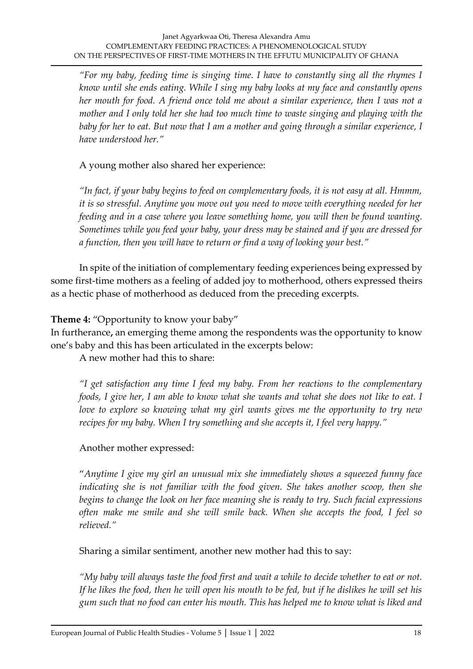*"For my baby, feeding time is singing time. I have to constantly sing all the rhymes I know until she ends eating. While I sing my baby looks at my face and constantly opens her mouth for food. A friend once told me about a similar experience, then I was not a mother and I only told her she had too much time to waste singing and playing with the baby for her to eat. But now that I am a mother and going through a similar experience, I have understood her."*

A young mother also shared her experience:

*"In fact, if your baby begins to feed on complementary foods, it is not easy at all. Hmmm, it is so stressful. Anytime you move out you need to move with everything needed for her feeding and in a case where you leave something home, you will then be found wanting. Sometimes while you feed your baby, your dress may be stained and if you are dressed for a function, then you will have to return or find a way of looking your best."*

In spite of the initiation of complementary feeding experiences being expressed by some first-time mothers as a feeling of added joy to motherhood, others expressed theirs as a hectic phase of motherhood as deduced from the preceding excerpts.

#### **Theme 4:** "Opportunity to know your baby"

In furtherance**,** an emerging theme among the respondents was the opportunity to know one's baby and this has been articulated in the excerpts below:

A new mother had this to share:

*"I get satisfaction any time I feed my baby. From her reactions to the complementary foods, I give her, I am able to know what she wants and what she does not like to eat. I love to explore so knowing what my girl wants gives me the opportunity to try new recipes for my baby. When I try something and she accepts it, I feel very happy."*

#### Another mother expressed:

"*Anytime I give my girl an unusual mix she immediately shows a squeezed funny face indicating she is not familiar with the food given. She takes another scoop, then she begins to change the look on her face meaning she is ready to try. Such facial expressions often make me smile and she will smile back. When she accepts the food, I feel so relieved."*

Sharing a similar sentiment, another new mother had this to say:

*"My baby will always taste the food first and wait a while to decide whether to eat or not. If he likes the food, then he will open his mouth to be fed, but if he dislikes he will set his gum such that no food can enter his mouth. This has helped me to know what is liked and*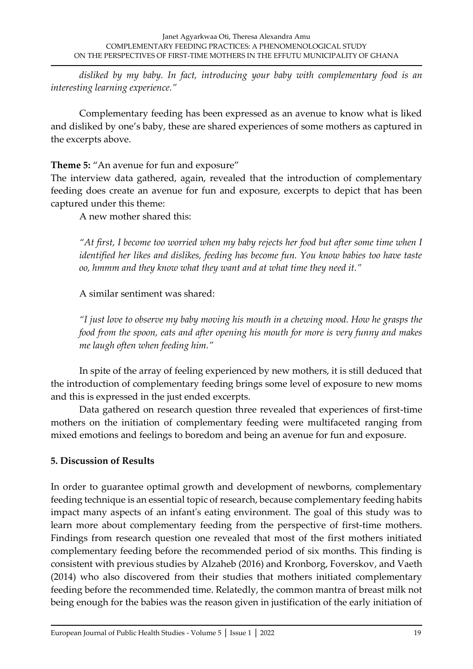*disliked by my baby. In fact, introducing your baby with complementary food is an interesting learning experience."*

Complementary feeding has been expressed as an avenue to know what is liked and disliked by one's baby, these are shared experiences of some mothers as captured in the excerpts above.

**Theme 5:** "An avenue for fun and exposure"

The interview data gathered, again, revealed that the introduction of complementary feeding does create an avenue for fun and exposure, excerpts to depict that has been captured under this theme:

A new mother shared this:

*"At first, I become too worried when my baby rejects her food but after some time when I identified her likes and dislikes, feeding has become fun. You know babies too have taste oo, hmmm and they know what they want and at what time they need it."*

A similar sentiment was shared:

*"I just love to observe my baby moving his mouth in a chewing mood. How he grasps the food from the spoon, eats and after opening his mouth for more is very funny and makes me laugh often when feeding him."*

In spite of the array of feeling experienced by new mothers, it is still deduced that the introduction of complementary feeding brings some level of exposure to new moms and this is expressed in the just ended excerpts.

Data gathered on research question three revealed that experiences of first-time mothers on the initiation of complementary feeding were multifaceted ranging from mixed emotions and feelings to boredom and being an avenue for fun and exposure.

# **5. Discussion of Results**

In order to guarantee optimal growth and development of newborns, complementary feeding technique is an essential topic of research, because complementary feeding habits impact many aspects of an infant's eating environment. The goal of this study was to learn more about complementary feeding from the perspective of first-time mothers. Findings from research question one revealed that most of the first mothers initiated complementary feeding before the recommended period of six months. This finding is consistent with previous studies by Alzaheb (2016) and Kronborg, Foverskov, and Vaeth (2014) who also discovered from their studies that mothers initiated complementary feeding before the recommended time. Relatedly, the common mantra of breast milk not being enough for the babies was the reason given in justification of the early initiation of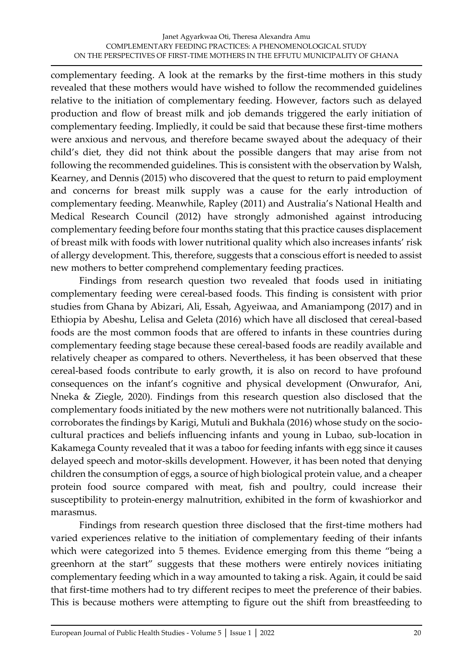complementary feeding. A look at the remarks by the first-time mothers in this study revealed that these mothers would have wished to follow the recommended guidelines relative to the initiation of complementary feeding. However, factors such as delayed production and flow of breast milk and job demands triggered the early initiation of complementary feeding. Impliedly, it could be said that because these first-time mothers were anxious and nervous, and therefore became swayed about the adequacy of their child's diet, they did not think about the possible dangers that may arise from not following the recommended guidelines. This is consistent with the observation by Walsh, Kearney, and Dennis (2015) who discovered that the quest to return to paid employment and concerns for breast milk supply was a cause for the early introduction of complementary feeding. Meanwhile, Rapley (2011) and Australia's National Health and Medical Research Council (2012) have strongly admonished against introducing complementary feeding before four months stating that this practice causes displacement of breast milk with foods with lower nutritional quality which also increases infants' risk of allergy development. This, therefore, suggests that a conscious effort is needed to assist new mothers to better comprehend complementary feeding practices.

Findings from research question two revealed that foods used in initiating complementary feeding were cereal-based foods. This finding is consistent with prior studies from Ghana by Abizari, Ali, Essah, Agyeiwaa, and Amaniampong (2017) and in Ethiopia by Abeshu, Lelisa and Geleta (2016) which have all disclosed that cereal-based foods are the most common foods that are offered to infants in these countries during complementary feeding stage because these cereal-based foods are readily available and relatively cheaper as compared to others. Nevertheless, it has been observed that these cereal-based foods contribute to early growth, it is also on record to have profound consequences on the infant's cognitive and physical development (Onwurafor, Ani, Nneka & Ziegle, 2020). Findings from this research question also disclosed that the complementary foods initiated by the new mothers were not nutritionally balanced. This corroborates the findings by Karigi, Mutuli and Bukhala (2016) whose study on the sociocultural practices and beliefs influencing infants and young in Lubao, sub-location in Kakamega County revealed that it was a taboo for feeding infants with egg since it causes delayed speech and motor-skills development. However, it has been noted that denying children the consumption of eggs, a source of high biological protein value, and a cheaper protein food source compared with meat, fish and poultry, could increase their susceptibility to protein-energy malnutrition, exhibited in the form of kwashiorkor and marasmus.

Findings from research question three disclosed that the first-time mothers had varied experiences relative to the initiation of complementary feeding of their infants which were categorized into 5 themes. Evidence emerging from this theme "being a greenhorn at the start" suggests that these mothers were entirely novices initiating complementary feeding which in a way amounted to taking a risk. Again, it could be said that first-time mothers had to try different recipes to meet the preference of their babies. This is because mothers were attempting to figure out the shift from breastfeeding to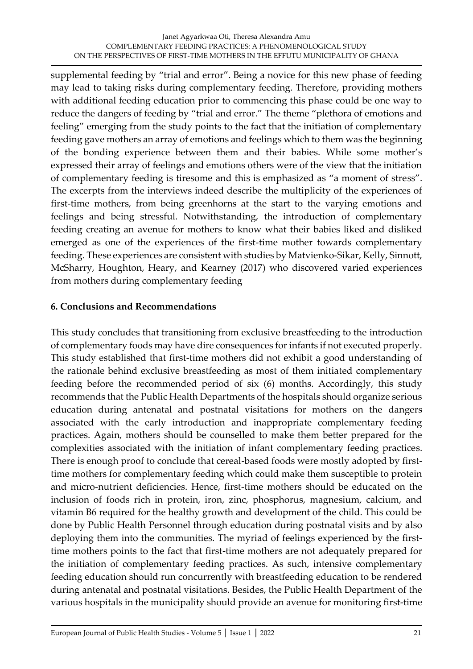supplemental feeding by "trial and error". Being a novice for this new phase of feeding may lead to taking risks during complementary feeding. Therefore, providing mothers with additional feeding education prior to commencing this phase could be one way to reduce the dangers of feeding by "trial and error." The theme "plethora of emotions and feeling" emerging from the study points to the fact that the initiation of complementary feeding gave mothers an array of emotions and feelings which to them was the beginning of the bonding experience between them and their babies. While some mother's expressed their array of feelings and emotions others were of the view that the initiation of complementary feeding is tiresome and this is emphasized as "a moment of stress". The excerpts from the interviews indeed describe the multiplicity of the experiences of first-time mothers, from being greenhorns at the start to the varying emotions and feelings and being stressful. Notwithstanding, the introduction of complementary feeding creating an avenue for mothers to know what their babies liked and disliked emerged as one of the experiences of the first-time mother towards complementary feeding. These experiences are consistent with studies by Matvienko‐Sikar, Kelly, Sinnott, McSharry, Houghton, Heary, and Kearney (2017) who discovered varied experiences from mothers during complementary feeding

### **6. Conclusions and Recommendations**

This study concludes that transitioning from exclusive breastfeeding to the introduction of complementary foods may have dire consequences for infants if not executed properly. This study established that first-time mothers did not exhibit a good understanding of the rationale behind exclusive breastfeeding as most of them initiated complementary feeding before the recommended period of six (6) months. Accordingly, this study recommends that the Public Health Departments of the hospitals should organize serious education during antenatal and postnatal visitations for mothers on the dangers associated with the early introduction and inappropriate complementary feeding practices. Again, mothers should be counselled to make them better prepared for the complexities associated with the initiation of infant complementary feeding practices. There is enough proof to conclude that cereal-based foods were mostly adopted by firsttime mothers for complementary feeding which could make them susceptible to protein and micro-nutrient deficiencies. Hence, first-time mothers should be educated on the inclusion of foods rich in protein, iron, zinc, phosphorus, magnesium, calcium, and vitamin B6 required for the healthy growth and development of the child. This could be done by Public Health Personnel through education during postnatal visits and by also deploying them into the communities. The myriad of feelings experienced by the firsttime mothers points to the fact that first-time mothers are not adequately prepared for the initiation of complementary feeding practices. As such, intensive complementary feeding education should run concurrently with breastfeeding education to be rendered during antenatal and postnatal visitations. Besides, the Public Health Department of the various hospitals in the municipality should provide an avenue for monitoring first-time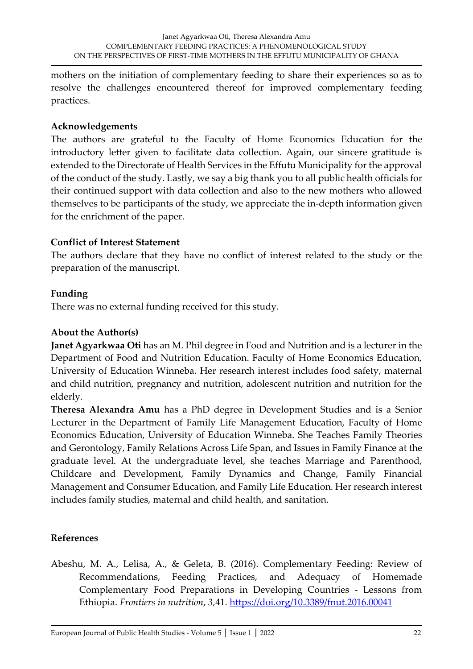mothers on the initiation of complementary feeding to share their experiences so as to resolve the challenges encountered thereof for improved complementary feeding practices.

### **Acknowledgements**

The authors are grateful to the Faculty of Home Economics Education for the introductory letter given to facilitate data collection. Again, our sincere gratitude is extended to the Directorate of Health Services in the Effutu Municipality for the approval of the conduct of the study. Lastly, we say a big thank you to all public health officials for their continued support with data collection and also to the new mothers who allowed themselves to be participants of the study, we appreciate the in-depth information given for the enrichment of the paper.

# **Conflict of Interest Statement**

The authors declare that they have no conflict of interest related to the study or the preparation of the manuscript.

### **Funding**

There was no external funding received for this study.

### **About the Author(s)**

**Janet Agyarkwaa Oti** has an M. Phil degree in Food and Nutrition and is a lecturer in the Department of Food and Nutrition Education. Faculty of Home Economics Education, University of Education Winneba. Her research interest includes food safety, maternal and child nutrition, pregnancy and nutrition, adolescent nutrition and nutrition for the elderly.

**Theresa Alexandra Amu** has a PhD degree in Development Studies and is a Senior Lecturer in the Department of Family Life Management Education, Faculty of Home Economics Education, University of Education Winneba. She Teaches Family Theories and Gerontology, Family Relations Across Life Span, and Issues in Family Finance at the graduate level. At the undergraduate level, she teaches Marriage and Parenthood, Childcare and Development, Family Dynamics and Change, Family Financial Management and Consumer Education, and Family Life Education. Her research interest includes family studies, maternal and child health, and sanitation.

# **References**

Abeshu, M. A., Lelisa, A., & Geleta, B. (2016). Complementary Feeding: Review of Recommendations, Feeding Practices, and Adequacy of Homemade Complementary Food Preparations in Developing Countries - Lessons from Ethiopia. *Frontiers in nutrition*, *3,*41.<https://doi.org/10.3389/fnut.2016.00041>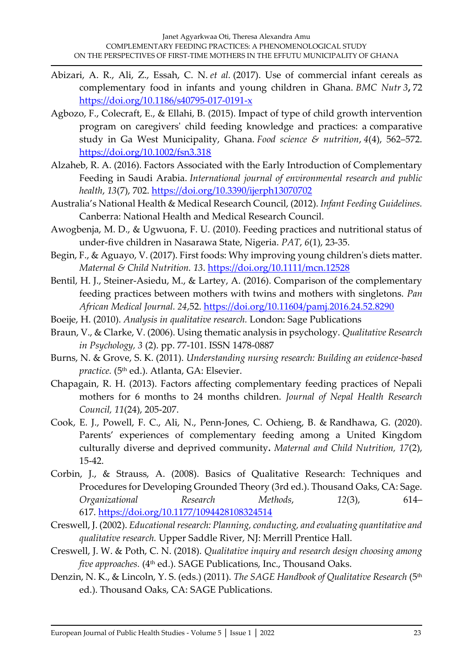- Abizari, A. R., Ali, Z., Essah, C. N. *et al.* (2017). Use of commercial infant cereals as complementary food in infants and young children in Ghana. *BMC Nutr 3***,** 72 <https://doi.org/10.1186/s40795-017-0191-x>
- Agbozo, F., Colecraft, E., & Ellahi, B. (2015). Impact of type of child growth intervention program on caregivers' child feeding knowledge and practices: a comparative study in Ga West Municipality, Ghana. *Food science & nutrition*, *4*(4), 562–572. <https://doi.org/10.1002/fsn3.318>
- Alzaheb, R. A. (2016). Factors Associated with the Early Introduction of Complementary Feeding in Saudi Arabia. *International journal of environmental research and public health*, *13*(7), 702.<https://doi.org/10.3390/ijerph13070702>
- Australia's National Health & Medical Research Council, (2012). *Infant Feeding Guidelines.* Canberra: National Health and Medical Research Council.
- Awogbenja, M. D., & Ugwuona, F. U. (2010). Feeding practices and nutritional status of under-five children in Nasarawa State, Nigeria. *PAT*, *6*(1), 23-35.
- Begin, F., & Aguayo, V. (2017). First foods: Why improving young children's diets matter. *Maternal & Child Nutrition. 13*.<https://doi.org/10.1111/mcn.12528>
- Bentil, H. J., Steiner-Asiedu, M., & Lartey, A. (2016). Comparison of the complementary feeding practices between mothers with twins and mothers with singletons. *Pan African Medical Journal. 24*,52.<https://doi.org/10.11604/pamj.2016.24.52.8290>
- Boeije, H. (2010). *Analysis in qualitative research.* London: Sage Publications
- Braun, V., & Clarke, V. (2006). Using thematic analysis in psychology. *Qualitative Research in Psychology, 3* (2). pp. 77-101. ISSN 1478-0887
- Burns, N. & Grove, S. K. (2011). *Understanding nursing research: Building an evidence-based*  practice. (5<sup>th</sup> ed.). Atlanta, GA: Elsevier.
- Chapagain, R. H. (2013). Factors affecting complementary feeding practices of Nepali mothers for 6 months to 24 months children. *Journal of Nepal Health Research Council, 11*(24), 205-207.
- [Cook,](https://www.ncbi.nlm.nih.gov/pubmed/?term=Cook%20EJ%5BAuthor%5D&cauthor=true&cauthor_uid=33169518) E. J., Powell, F. C., Ali, N., [Penn‐Jones](https://www.ncbi.nlm.nih.gov/pubmed/?term=Penn%26%23x02010%3BJones%20C%5BAuthor%5D&cauthor=true&cauthor_uid=33169518), C. [Ochieng,](https://www.ncbi.nlm.nih.gov/pubmed/?term=Ochieng%20B%5BAuthor%5D&cauthor=true&cauthor_uid=33169518) B. & [Randhawa,](https://www.ncbi.nlm.nih.gov/pubmed/?term=Randhawa%20G%5BAuthor%5D&cauthor=true&cauthor_uid=33169518) G. (2020). Parents' experiences of complementary feeding among a United Kingdom culturally diverse and deprived community**.** *[Maternal and Child Nutrition,](https://www.ncbi.nlm.nih.gov/pmc/articles/PMC7988868/) 17*(2), 15-42.
- Corbin, J., & Strauss, A. (2008). Basics of Qualitative Research: Techniques and Procedures for Developing Grounded Theory (3rd ed.). Thousand Oaks, CA: Sage. *Organizational Research Methods*, *12*(3), 614– 617. <https://doi.org/10.1177/1094428108324514>
- Creswell, J. (2002). *Educational research: Planning, conducting, and evaluating quantitative and qualitative research.* Upper Saddle River, NJ: Merrill Prentice Hall.
- Creswell, J. W. & Poth, C. N. (2018). *Qualitative inquiry and research design choosing among five approaches.* (4<sup>th</sup> ed.). SAGE Publications, Inc., Thousand Oaks.
- Denzin, N. K., & Lincoln, Y. S. (eds.) (2011). *The SAGE Handbook of Qualitative Research* (5th ed.). Thousand Oaks, CA: SAGE Publications.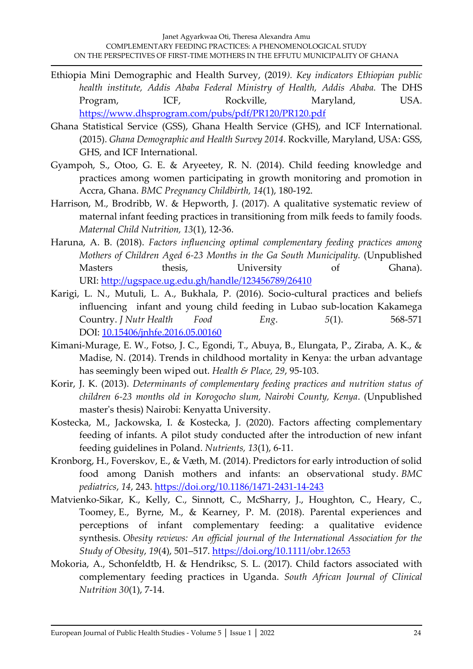- Ethiopia Mini Demographic and Health Survey, (2019*). Key indicators Ethiopian public health institute, Addis Ababa Federal Ministry of Health, Addis Ababa.* The DHS Program, ICF, Rockville, Maryland, USA. <https://www.dhsprogram.com/pubs/pdf/PR120/PR120.pdf>
- Ghana Statistical Service (GSS), Ghana Health Service (GHS), and ICF International. (2015). *Ghana Demographic and Health Survey 2014.* Rockville, Maryland, USA: GSS, GHS, and ICF International.
- Gyampoh, S., Otoo, G. E. & Aryeetey, R. N. (2014). Child feeding knowledge and practices among women participating in growth monitoring and promotion in Accra, Ghana. *BMC Pregnancy Childbirth, 14*(1), 180-192.
- Harrison, M., Brodribb, W. & Hepworth, J. (2017). A qualitative systematic review of maternal infant feeding practices in transitioning from milk feeds to family foods. *Maternal Child Nutrition, 13*(1), 12-36.
- Haruna, A. B. (2018). *Factors influencing optimal complementary feeding practices among Mothers of Children Aged 6-23 Months in the Ga South Municipality.* (Unpublished Masters thesis, University of Ghana). URI: <http://ugspace.ug.edu.gh/handle/123456789/26410>
- Karigi, L. N., Mutuli, L. A., Bukhala, P. (2016). Socio-cultural practices and beliefs influencing infant and young child feeding in Lubao sub-location Kakamega Country. *J Nutr Health Food Eng*. *5*(1). 568-571 DOI: [10.15406/jnhfe.2016.05.00160](https://doi.org/10.15406/jnhfe.2016.05.00160)
- Kimani‐Murage, E. W., Fotso, J. C., Egondi, T., Abuya, B., Elungata, P., Ziraba, A. K., & Madise, N. (2014). Trends in childhood mortality in Kenya: the urban advantage has seemingly been wiped out. *Health & Place, 29*, 95-103.
- Korir, J. K. (2013). *Determinants of complementary feeding practices and nutrition status of children 6-23 months old in Korogocho slum, Nairobi County, Kenya*. (Unpublished master's thesis) Nairobi: Kenyatta University.
- Kostecka, M., Jackowska, I. & Kostecka, J. (2020). Factors affecting complementary feeding of infants. A pilot study conducted after the introduction of new infant feeding guidelines in Poland. *Nutrients, 13*(1), 6-11.
- Kronborg, H., Foverskov, E., & Væth, M. (2014). Predictors for early introduction of solid food among Danish mothers and infants: an observational study. *BMC pediatrics*, *14*, 243. <https://doi.org/10.1186/1471-2431-14-243>
- Matvienko-Sikar, K., Kelly, C., Sinnott, C., McSharry, J., Houghton, C., Heary, C., Toomey, E., Byrne, M., & Kearney, P. M. (2018). Parental experiences and perceptions of infant complementary feeding: a qualitative evidence synthesis. *Obesity reviews: An official journal of the International Association for the Study of Obesity*, *19*(4), 501–517.<https://doi.org/10.1111/obr.12653>
- Mokoria, A., Schonfeldtb, H. & Hendriksc, S. L. (2017). Child factors associated with complementary feeding practices in Uganda. *South African Journal of Clinical Nutrition 30*(1), 7-14.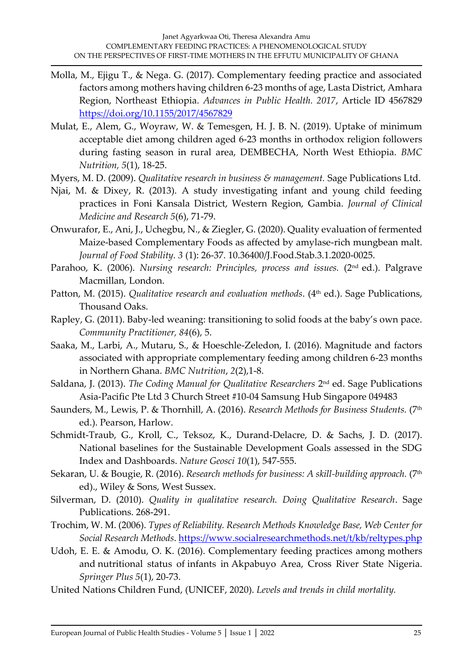- Molla, M., Ejigu T., & Nega. G. (2017). Complementary feeding practice and associated factors among mothers having children 6-23 months of age, Lasta District, Amhara Region, Northeast Ethiopia. *Advances in Public Health. 2017*, Article ID 4567829 <https://doi.org/10.1155/2017/4567829>
- Mulat, E., Alem, G., Woyraw, W. & Temesgen, H. J. B. N. (2019). Uptake of minimum acceptable diet among children aged 6-23 months in orthodox religion followers during fasting season in rural area, DEMBECHA, North West Ethiopia. *BMC Nutrition, 5*(1), 18-25.
- Myers, M. D. (2009). *Qualitative research in business & management.* Sage Publications Ltd.
- Njai, M. & Dixey, R. (2013). A study investigating infant and young child feeding practices in Foni Kansala District, Western Region, Gambia. *Journal of Clinical Medicine and Research 5*(6), 71-79.
- Onwurafor, E., Ani, J., Uchegbu, N., & Ziegler, G. (2020). Quality evaluation of fermented Maize-based Complementary Foods as affected by amylase-rich mungbean malt. *Journal of Food Stability. 3* (1): 26-37. 10.36400/J.Food.Stab.3.1.2020-0025.
- Parahoo, K. (2006). *Nursing research: Principles, process and issues.* (2<sup>nd</sup> ed.). Palgrave Macmillan, London.
- Patton, M. (2015). *Qualitative research and evaluation methods*. (4<sup>th</sup> ed.). Sage Publications, Thousand Oaks.
- Rapley, G. (2011). Baby-led weaning: transitioning to solid foods at the baby's own pace. *Community Practitioner, 84*(6), 5.
- Saaka, M., Larbi, A., Mutaru, S., & Hoeschle-Zeledon, I. (2016). Magnitude and factors associated with appropriate complementary feeding among children 6-23 months in Northern Ghana. *BMC Nutrition*, *2*(2),1-8.
- Saldana, J. (2013). *The Coding Manual for Qualitative Researchers* 2 nd ed. Sage Publications Asia-Pacific Pte Ltd 3 Church Street #10-04 Samsung Hub Singapore 049483
- Saunders, M., Lewis, P. & Thornhill, A. (2016). *Research Methods for Business Students.* (7th ed.). Pearson, Harlow.
- Schmidt-Traub, G., Kroll, C., Teksoz, K., Durand-Delacre, D. & Sachs, J. D. (2017). National baselines for the Sustainable Development Goals assessed in the SDG Index and Dashboards. *Nature Geosci 10*(1), 547-555.
- Sekaran, U. & Bougie, R. (2016). *Research methods for business: A skill-building approach.* (7<sup>th</sup> ed)., Wiley & Sons, West Sussex.
- Silverman, D. (2010). *Quality in qualitative research. Doing Qualitative Research*. Sage Publications. 268-291.
- Trochim, W. M. (2006). *Types of Reliability. Research Methods Knowledge Base, Web Center for Social Research Methods*. [https://www.socialresearchmethods.net/t/kb/reltypes.php](https://www.socialresearchmethods.net/t/kb/reltypes.php%20%20%20%20%20%20%20/)
- Udoh, E. E. & Amodu, O. K. (2016). Complementary feeding practices among mothers and nutritional status of infants in Akpabuyo Area, Cross River State Nigeria. *Springer Plus 5*(1), 20-73.
- United Nations Children Fund, (UNICEF, 2020). *Levels and trends in child mortality.*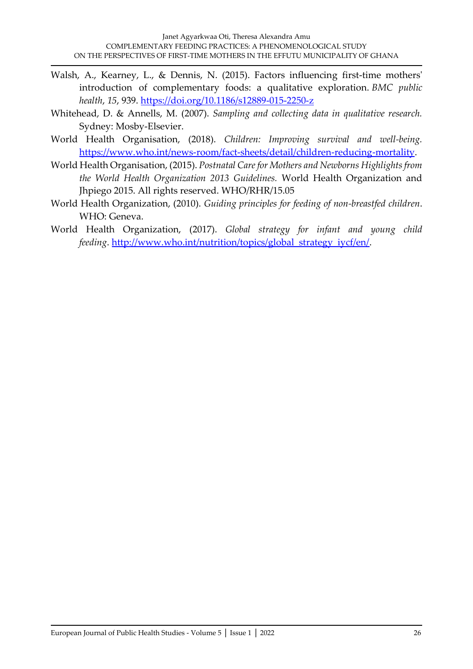- Walsh, A., Kearney, L., & Dennis, N. (2015). Factors influencing first-time mothers' introduction of complementary foods: a qualitative exploration. *BMC public health*, *15*, 939. <https://doi.org/10.1186/s12889-015-2250-z>
- Whitehead, D. & Annells, M. (2007). *Sampling and collecting data in qualitative research.* Sydney: Mosby-Elsevier.
- World Health Organisation, (2018). *Children: Improving survival and well-being.* [https://www.who.int/news-room/fact-sheets/detail/children-reducing-mortality.](https://www.who.int/news-room/fact-sheets/detail/children-reducing-mortality)
- World Health Organisation, (2015). *Postnatal Care for Mothers and Newborns Highlights from the World Health Organization 2013 Guidelines.* World Health Organization and Jhpiego 2015. All rights reserved. WHO/RHR/15.05
- World Health Organization, (2010). *Guiding principles for feeding of non-breastfed children*. WHO: Geneva.
- World Health Organization, (2017). *Global strategy for infant and young child feeding*. [http://www.who.int/nutrition/topics/global\\_strategy\\_iycf/en/.](http://www.who.int/nutrition/topics/global_strategy_iycf/en/)